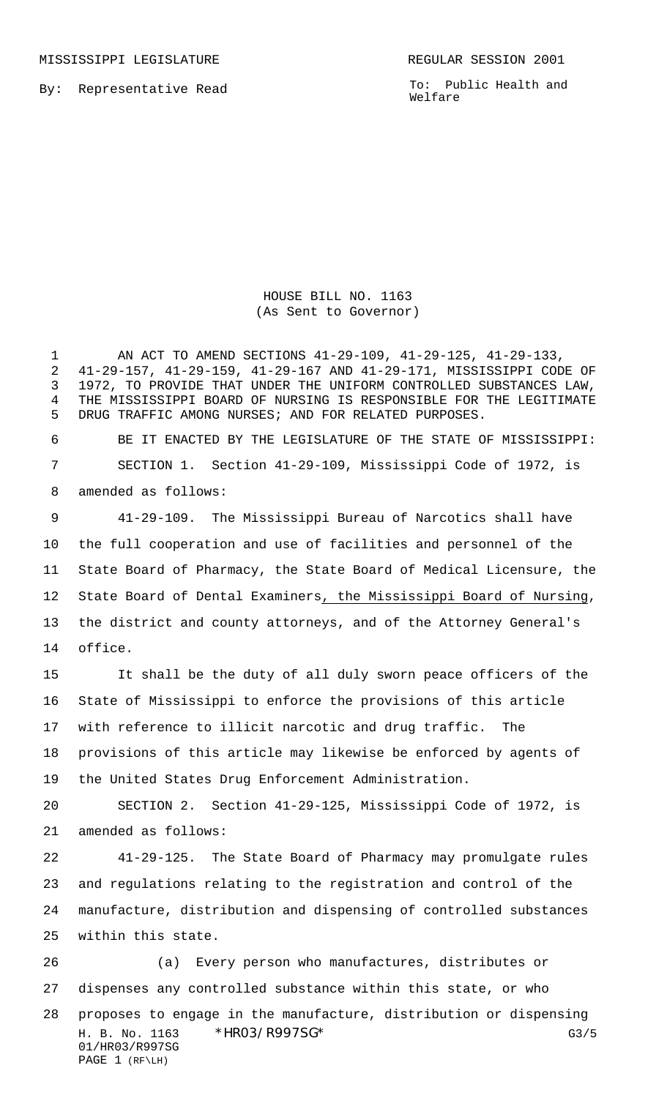MISSISSIPPI LEGISLATURE **REGULAR SESSION 2001** 

By: Representative Read

To: Public Health and Welfare

HOUSE BILL NO. 1163 (As Sent to Governor)

 AN ACT TO AMEND SECTIONS 41-29-109, 41-29-125, 41-29-133, 41-29-157, 41-29-159, 41-29-167 AND 41-29-171, MISSISSIPPI CODE OF 1972, TO PROVIDE THAT UNDER THE UNIFORM CONTROLLED SUBSTANCES LAW, THE MISSISSIPPI BOARD OF NURSING IS RESPONSIBLE FOR THE LEGITIMATE DRUG TRAFFIC AMONG NURSES; AND FOR RELATED PURPOSES.

 BE IT ENACTED BY THE LEGISLATURE OF THE STATE OF MISSISSIPPI: SECTION 1. Section 41-29-109, Mississippi Code of 1972, is amended as follows:

 41-29-109. The Mississippi Bureau of Narcotics shall have the full cooperation and use of facilities and personnel of the State Board of Pharmacy, the State Board of Medical Licensure, the State Board of Dental Examiners, the Mississippi Board of Nursing, the district and county attorneys, and of the Attorney General's office.

 It shall be the duty of all duly sworn peace officers of the State of Mississippi to enforce the provisions of this article with reference to illicit narcotic and drug traffic. The provisions of this article may likewise be enforced by agents of the United States Drug Enforcement Administration.

 SECTION 2. Section 41-29-125, Mississippi Code of 1972, is amended as follows:

 41-29-125. The State Board of Pharmacy may promulgate rules and regulations relating to the registration and control of the manufacture, distribution and dispensing of controlled substances within this state.

H. B. No. 1163 \*HRO3/R997SG\* G3/5 01/HR03/R997SG PAGE 1 (RF\LH) (a) Every person who manufactures, distributes or dispenses any controlled substance within this state, or who proposes to engage in the manufacture, distribution or dispensing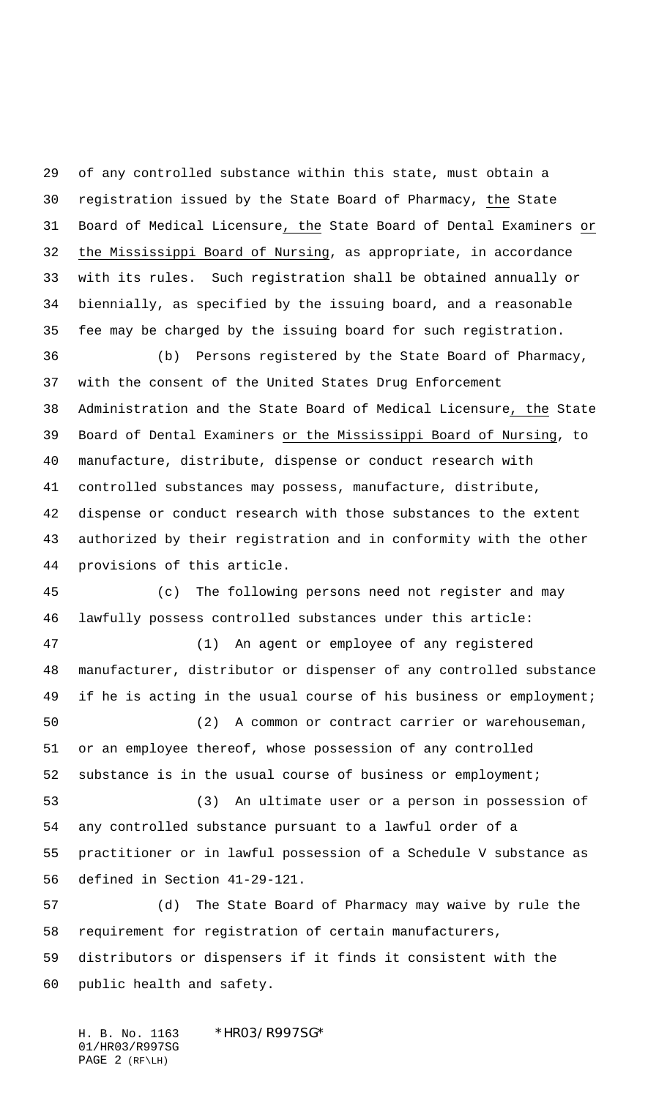of any controlled substance within this state, must obtain a registration issued by the State Board of Pharmacy, the State Board of Medical Licensure, the State Board of Dental Examiners or the Mississippi Board of Nursing, as appropriate, in accordance with its rules. Such registration shall be obtained annually or biennially, as specified by the issuing board, and a reasonable fee may be charged by the issuing board for such registration.

 (b) Persons registered by the State Board of Pharmacy, with the consent of the United States Drug Enforcement Administration and the State Board of Medical Licensure, the State Board of Dental Examiners or the Mississippi Board of Nursing, to manufacture, distribute, dispense or conduct research with controlled substances may possess, manufacture, distribute, dispense or conduct research with those substances to the extent authorized by their registration and in conformity with the other provisions of this article.

 (c) The following persons need not register and may lawfully possess controlled substances under this article:

 (1) An agent or employee of any registered manufacturer, distributor or dispenser of any controlled substance 49 if he is acting in the usual course of his business or employment;

 (2) A common or contract carrier or warehouseman, or an employee thereof, whose possession of any controlled substance is in the usual course of business or employment;

 (3) An ultimate user or a person in possession of any controlled substance pursuant to a lawful order of a practitioner or in lawful possession of a Schedule V substance as defined in Section 41-29-121.

 (d) The State Board of Pharmacy may waive by rule the requirement for registration of certain manufacturers, distributors or dispensers if it finds it consistent with the public health and safety.

H. B. No. 1163 \*HR03/R997SG\* 01/HR03/R997SG PAGE 2 (RF\LH)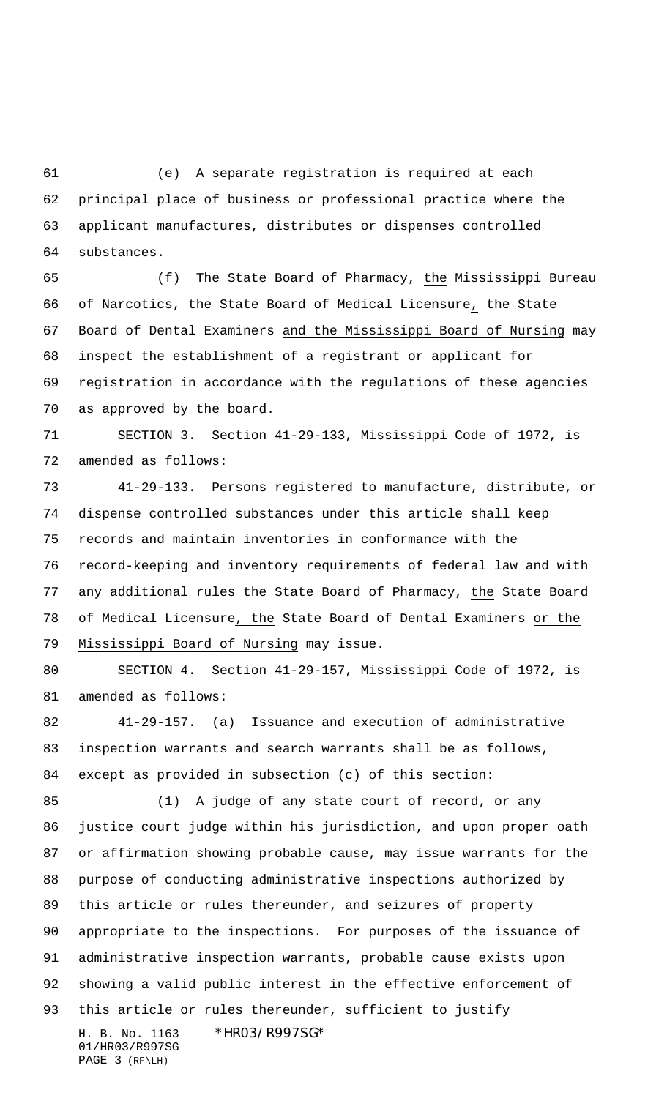(e) A separate registration is required at each principal place of business or professional practice where the applicant manufactures, distributes or dispenses controlled substances.

 (f) The State Board of Pharmacy, the Mississippi Bureau of Narcotics, the State Board of Medical Licensure, the State Board of Dental Examiners and the Mississippi Board of Nursing may inspect the establishment of a registrant or applicant for registration in accordance with the regulations of these agencies as approved by the board.

 SECTION 3. Section 41-29-133, Mississippi Code of 1972, is amended as follows:

 41-29-133. Persons registered to manufacture, distribute, or dispense controlled substances under this article shall keep records and maintain inventories in conformance with the record-keeping and inventory requirements of federal law and with any additional rules the State Board of Pharmacy, the State Board of Medical Licensure, the State Board of Dental Examiners or the Mississippi Board of Nursing may issue.

 SECTION 4. Section 41-29-157, Mississippi Code of 1972, is amended as follows:

 41-29-157. (a) Issuance and execution of administrative inspection warrants and search warrants shall be as follows, except as provided in subsection (c) of this section:

H. B. No. 1163 \*HR03/R997SG\* 01/HR03/R997SG (1) A judge of any state court of record, or any justice court judge within his jurisdiction, and upon proper oath or affirmation showing probable cause, may issue warrants for the purpose of conducting administrative inspections authorized by this article or rules thereunder, and seizures of property appropriate to the inspections. For purposes of the issuance of administrative inspection warrants, probable cause exists upon showing a valid public interest in the effective enforcement of this article or rules thereunder, sufficient to justify

PAGE 3 (RF\LH)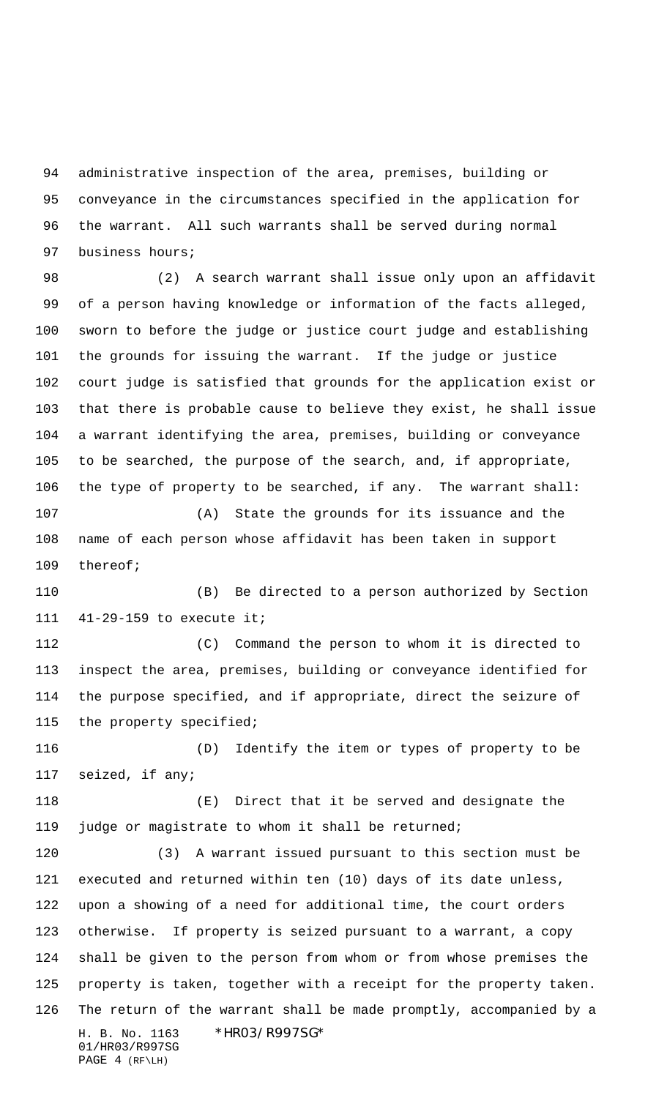administrative inspection of the area, premises, building or conveyance in the circumstances specified in the application for the warrant. All such warrants shall be served during normal business hours;

 (2) A search warrant shall issue only upon an affidavit of a person having knowledge or information of the facts alleged, sworn to before the judge or justice court judge and establishing the grounds for issuing the warrant. If the judge or justice court judge is satisfied that grounds for the application exist or that there is probable cause to believe they exist, he shall issue a warrant identifying the area, premises, building or conveyance to be searched, the purpose of the search, and, if appropriate, the type of property to be searched, if any. The warrant shall:

 (A) State the grounds for its issuance and the name of each person whose affidavit has been taken in support thereof;

 (B) Be directed to a person authorized by Section 41-29-159 to execute it;

 (C) Command the person to whom it is directed to inspect the area, premises, building or conveyance identified for the purpose specified, and if appropriate, direct the seizure of the property specified;

 (D) Identify the item or types of property to be seized, if any;

 (E) Direct that it be served and designate the judge or magistrate to whom it shall be returned;

H. B. No. 1163 \*HR03/R997SG\* 01/HR03/R997SG (3) A warrant issued pursuant to this section must be executed and returned within ten (10) days of its date unless, upon a showing of a need for additional time, the court orders otherwise. If property is seized pursuant to a warrant, a copy shall be given to the person from whom or from whose premises the property is taken, together with a receipt for the property taken. The return of the warrant shall be made promptly, accompanied by a

PAGE 4 (RF\LH)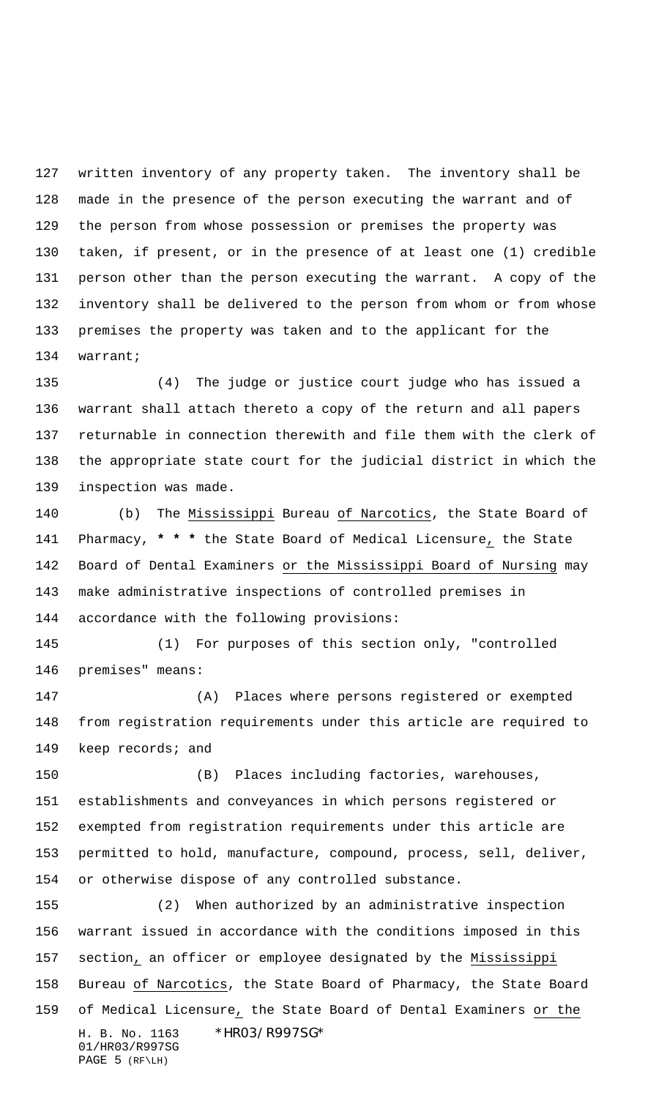written inventory of any property taken. The inventory shall be made in the presence of the person executing the warrant and of the person from whose possession or premises the property was taken, if present, or in the presence of at least one (1) credible person other than the person executing the warrant. A copy of the inventory shall be delivered to the person from whom or from whose premises the property was taken and to the applicant for the warrant;

 (4) The judge or justice court judge who has issued a warrant shall attach thereto a copy of the return and all papers returnable in connection therewith and file them with the clerk of the appropriate state court for the judicial district in which the inspection was made.

 (b) The Mississippi Bureau of Narcotics, the State Board of Pharmacy, **\* \* \*** the State Board of Medical Licensure, the State Board of Dental Examiners or the Mississippi Board of Nursing may make administrative inspections of controlled premises in accordance with the following provisions:

 (1) For purposes of this section only, "controlled premises" means:

 (A) Places where persons registered or exempted from registration requirements under this article are required to 149 keep records; and

 (B) Places including factories, warehouses, establishments and conveyances in which persons registered or exempted from registration requirements under this article are permitted to hold, manufacture, compound, process, sell, deliver, or otherwise dispose of any controlled substance.

H. B. No. 1163 \*HR03/R997SG\* 01/HR03/R997SG PAGE 5 (RF\LH) (2) When authorized by an administrative inspection warrant issued in accordance with the conditions imposed in this section, an officer or employee designated by the Mississippi Bureau of Narcotics, the State Board of Pharmacy, the State Board of Medical Licensure, the State Board of Dental Examiners or the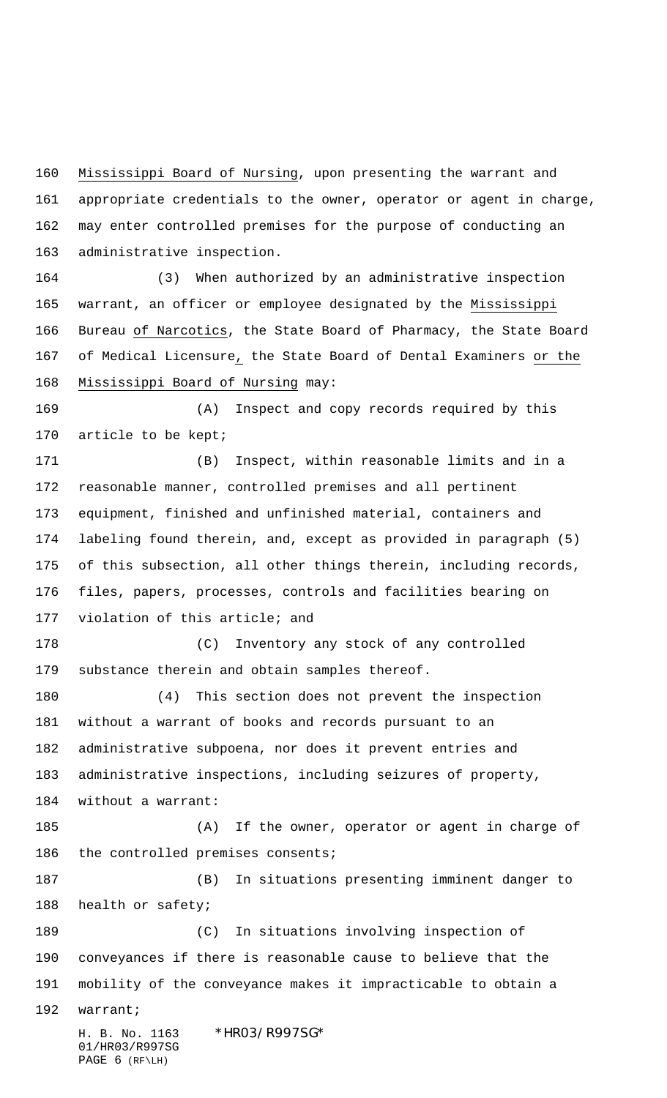Mississippi Board of Nursing, upon presenting the warrant and appropriate credentials to the owner, operator or agent in charge, may enter controlled premises for the purpose of conducting an administrative inspection.

 (3) When authorized by an administrative inspection warrant, an officer or employee designated by the Mississippi Bureau of Narcotics, the State Board of Pharmacy, the State Board of Medical Licensure, the State Board of Dental Examiners or the Mississippi Board of Nursing may:

 (A) Inspect and copy records required by this 170 article to be kept;

 (B) Inspect, within reasonable limits and in a reasonable manner, controlled premises and all pertinent equipment, finished and unfinished material, containers and labeling found therein, and, except as provided in paragraph (5) of this subsection, all other things therein, including records, files, papers, processes, controls and facilities bearing on violation of this article; and

 (C) Inventory any stock of any controlled substance therein and obtain samples thereof.

 (4) This section does not prevent the inspection without a warrant of books and records pursuant to an administrative subpoena, nor does it prevent entries and administrative inspections, including seizures of property, without a warrant:

 (A) If the owner, operator or agent in charge of 186 the controlled premises consents;

 (B) In situations presenting imminent danger to health or safety;

 (C) In situations involving inspection of conveyances if there is reasonable cause to believe that the mobility of the conveyance makes it impracticable to obtain a

warrant;

H. B. No. 1163 \*HR03/R997SG\* 01/HR03/R997SG PAGE 6 (RF\LH)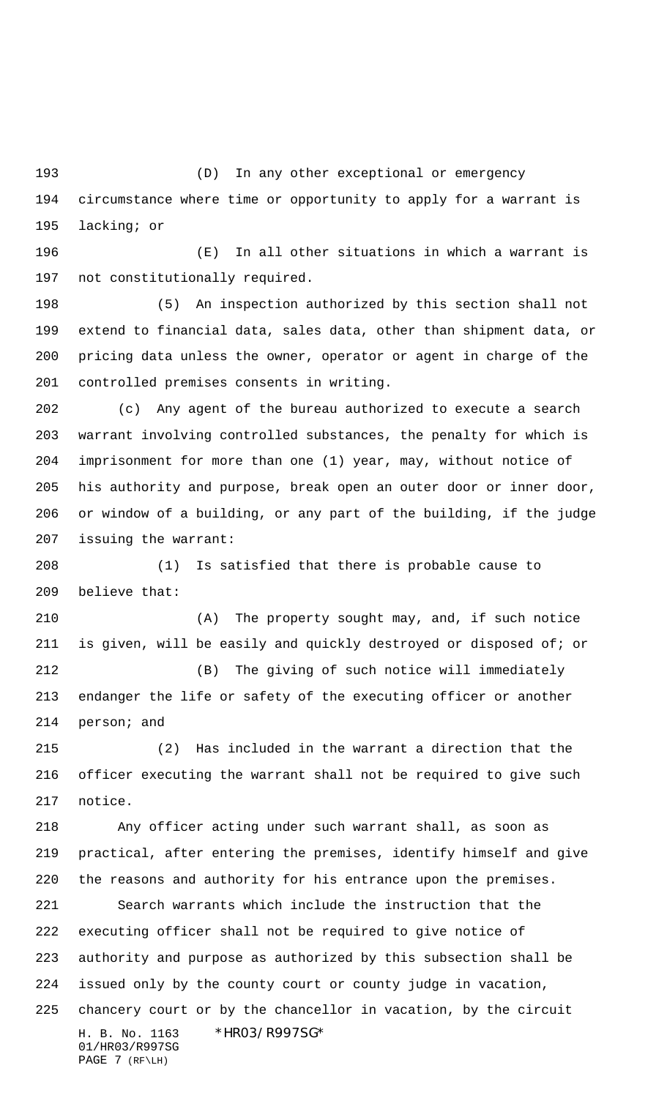(D) In any other exceptional or emergency circumstance where time or opportunity to apply for a warrant is lacking; or

 (E) In all other situations in which a warrant is not constitutionally required.

 (5) An inspection authorized by this section shall not extend to financial data, sales data, other than shipment data, or pricing data unless the owner, operator or agent in charge of the controlled premises consents in writing.

 (c) Any agent of the bureau authorized to execute a search warrant involving controlled substances, the penalty for which is imprisonment for more than one (1) year, may, without notice of his authority and purpose, break open an outer door or inner door, or window of a building, or any part of the building, if the judge issuing the warrant:

 (1) Is satisfied that there is probable cause to believe that:

 (A) The property sought may, and, if such notice is given, will be easily and quickly destroyed or disposed of; or (B) The giving of such notice will immediately endanger the life or safety of the executing officer or another person; and

 (2) Has included in the warrant a direction that the officer executing the warrant shall not be required to give such notice.

 Any officer acting under such warrant shall, as soon as practical, after entering the premises, identify himself and give the reasons and authority for his entrance upon the premises.

H. B. No. 1163 \*HR03/R997SG\* 01/HR03/R997SG Search warrants which include the instruction that the executing officer shall not be required to give notice of authority and purpose as authorized by this subsection shall be issued only by the county court or county judge in vacation, chancery court or by the chancellor in vacation, by the circuit

PAGE 7 (RF\LH)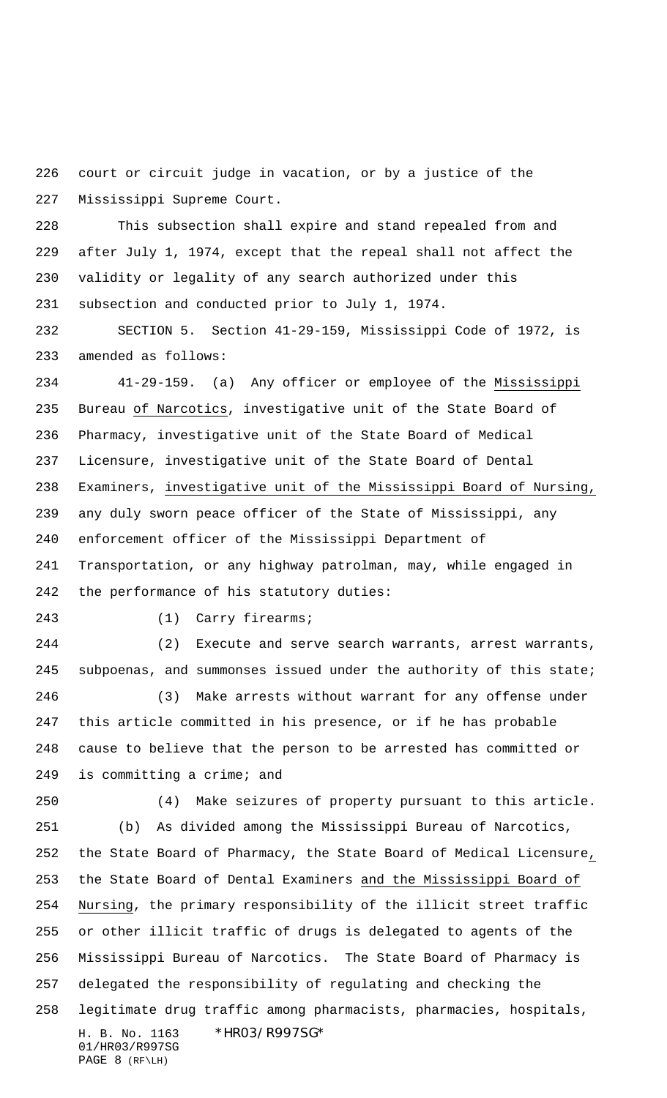court or circuit judge in vacation, or by a justice of the Mississippi Supreme Court.

 This subsection shall expire and stand repealed from and after July 1, 1974, except that the repeal shall not affect the validity or legality of any search authorized under this subsection and conducted prior to July 1, 1974.

 SECTION 5. Section 41-29-159, Mississippi Code of 1972, is amended as follows:

 41-29-159. (a) Any officer or employee of the Mississippi Bureau of Narcotics, investigative unit of the State Board of Pharmacy, investigative unit of the State Board of Medical Licensure, investigative unit of the State Board of Dental Examiners, investigative unit of the Mississippi Board of Nursing, any duly sworn peace officer of the State of Mississippi, any enforcement officer of the Mississippi Department of Transportation, or any highway patrolman, may, while engaged in the performance of his statutory duties:

(1) Carry firearms;

 (2) Execute and serve search warrants, arrest warrants, 245 subpoenas, and summonses issued under the authority of this state;

 (3) Make arrests without warrant for any offense under this article committed in his presence, or if he has probable cause to believe that the person to be arrested has committed or is committing a crime; and

(4) Make seizures of property pursuant to this article.

H. B. No. 1163 \*HR03/R997SG\* 01/HR03/R997SG (b) As divided among the Mississippi Bureau of Narcotics, the State Board of Pharmacy, the State Board of Medical Licensure, the State Board of Dental Examiners and the Mississippi Board of Nursing, the primary responsibility of the illicit street traffic or other illicit traffic of drugs is delegated to agents of the Mississippi Bureau of Narcotics. The State Board of Pharmacy is delegated the responsibility of regulating and checking the legitimate drug traffic among pharmacists, pharmacies, hospitals,

PAGE 8 (RF\LH)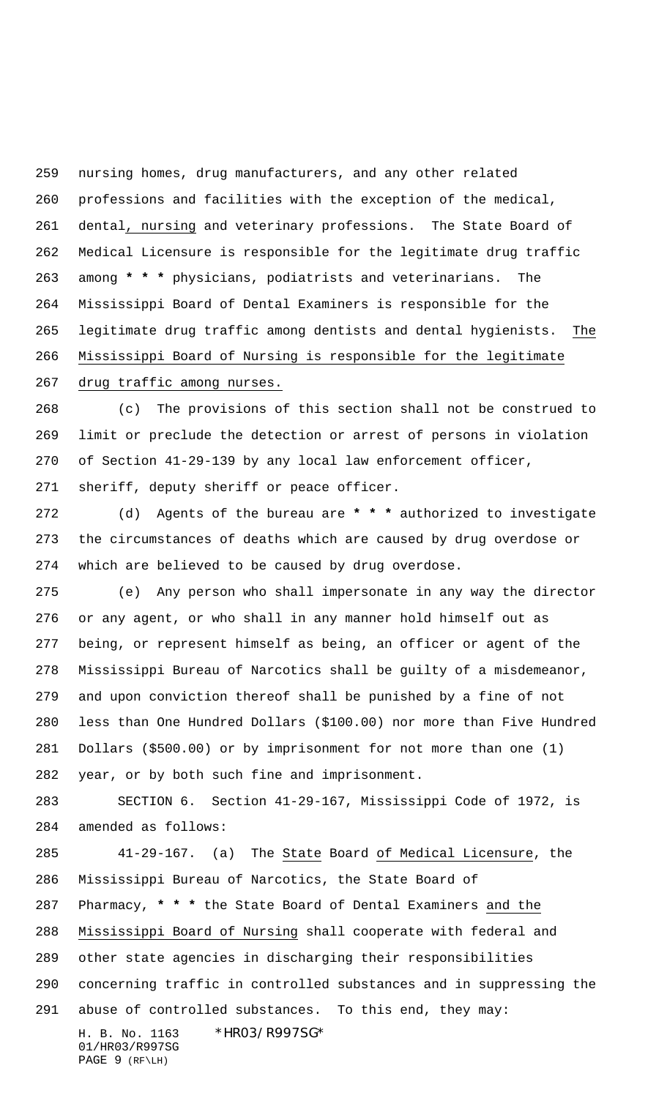nursing homes, drug manufacturers, and any other related professions and facilities with the exception of the medical, dental, nursing and veterinary professions. The State Board of Medical Licensure is responsible for the legitimate drug traffic among **\* \* \*** physicians, podiatrists and veterinarians. The Mississippi Board of Dental Examiners is responsible for the legitimate drug traffic among dentists and dental hygienists. The Mississippi Board of Nursing is responsible for the legitimate

drug traffic among nurses.

 (c) The provisions of this section shall not be construed to limit or preclude the detection or arrest of persons in violation of Section 41-29-139 by any local law enforcement officer, sheriff, deputy sheriff or peace officer.

 (d) Agents of the bureau are **\* \* \*** authorized to investigate the circumstances of deaths which are caused by drug overdose or which are believed to be caused by drug overdose.

 (e) Any person who shall impersonate in any way the director or any agent, or who shall in any manner hold himself out as being, or represent himself as being, an officer or agent of the Mississippi Bureau of Narcotics shall be guilty of a misdemeanor, and upon conviction thereof shall be punished by a fine of not less than One Hundred Dollars (\$100.00) nor more than Five Hundred Dollars (\$500.00) or by imprisonment for not more than one (1) year, or by both such fine and imprisonment.

 SECTION 6. Section 41-29-167, Mississippi Code of 1972, is amended as follows:

H. B. No. 1163 \*HR03/R997SG\* 41-29-167. (a) The State Board of Medical Licensure, the Mississippi Bureau of Narcotics, the State Board of Pharmacy, **\* \* \*** the State Board of Dental Examiners and the Mississippi Board of Nursing shall cooperate with federal and other state agencies in discharging their responsibilities concerning traffic in controlled substances and in suppressing the abuse of controlled substances. To this end, they may:

01/HR03/R997SG PAGE 9 (RF\LH)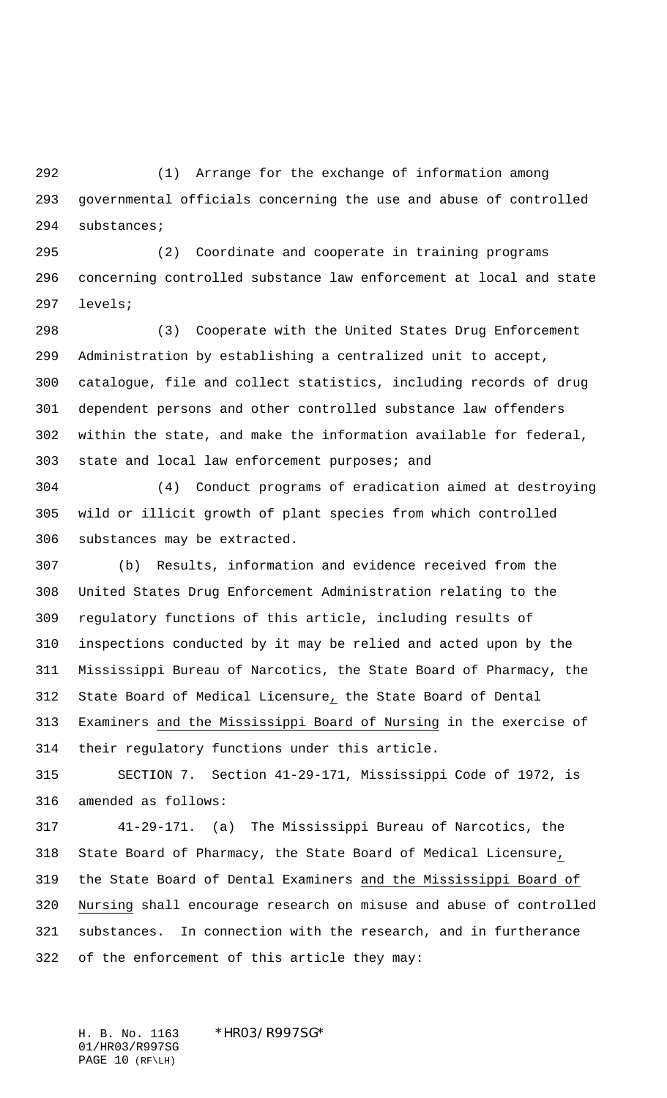(1) Arrange for the exchange of information among governmental officials concerning the use and abuse of controlled substances;

 (2) Coordinate and cooperate in training programs concerning controlled substance law enforcement at local and state levels;

 (3) Cooperate with the United States Drug Enforcement Administration by establishing a centralized unit to accept, catalogue, file and collect statistics, including records of drug dependent persons and other controlled substance law offenders within the state, and make the information available for federal, state and local law enforcement purposes; and

 (4) Conduct programs of eradication aimed at destroying wild or illicit growth of plant species from which controlled substances may be extracted.

 (b) Results, information and evidence received from the United States Drug Enforcement Administration relating to the regulatory functions of this article, including results of inspections conducted by it may be relied and acted upon by the Mississippi Bureau of Narcotics, the State Board of Pharmacy, the State Board of Medical Licensure, the State Board of Dental Examiners and the Mississippi Board of Nursing in the exercise of their regulatory functions under this article.

 SECTION 7. Section 41-29-171, Mississippi Code of 1972, is amended as follows:

 41-29-171. (a) The Mississippi Bureau of Narcotics, the State Board of Pharmacy, the State Board of Medical Licensure, the State Board of Dental Examiners and the Mississippi Board of Nursing shall encourage research on misuse and abuse of controlled substances. In connection with the research, and in furtherance of the enforcement of this article they may:

H. B. No. 1163 \*HR03/R997SG\* 01/HR03/R997SG PAGE 10 (RF\LH)